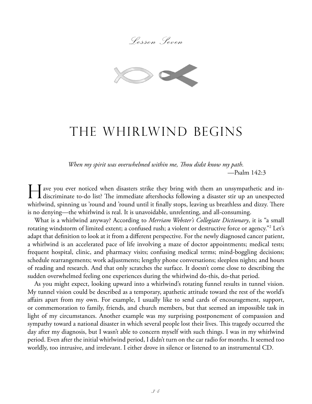## *Lesson Seven*



# The Whirlwind Begins

*When my spirit was overwhelmed within me, Th ou didst know my path.* —Psalm 142:3

Here you ever noticed when disasters strike they bring with them an unsympathetic and in-<br>discriminate to-do list? The immediate aftershocks following a disaster stir up an unexpected whirlwind, spinning us 'round and 'round until it finally stops, leaving us breathless and dizzy. There is no denying—the whirlwind is real. It is unavoidable, unrelenting, and all-consuming.

What is a whirlwind anyway? According to *Merriam Webster's Collegiate Dictionary*, it is "a small rotating windstorm of limited extent; a confused rush; a violent or destructive force or agency."2 Let's adapt that definition to look at it from a different perspective. For the newly diagnosed cancer patient, a whirlwind is an accelerated pace of life involving a maze of doctor appointments; medical tests; frequent hospital, clinic, and pharmacy visits; confusing medical terms; mind-boggling decisions; schedule rearrangements; work adjustments; lengthy phone conversations; sleepless nights; and hours of reading and research. And that only scratches the surface. It doesn't come close to describing the sudden overwhelmed feeling one experiences during the whirlwind do-this, do-that period.

As you might expect, looking upward into a whirlwind's rotating funnel results in tunnel vision. My tunnel vision could be described as a temporary, apathetic attitude toward the rest of the world's affairs apart from my own. For example, I usually like to send cards of encouragement, support, or commemoration to family, friends, and church members, but that seemed an impossible task in light of my circumstances. Another example was my surprising postponement of compassion and sympathy toward a national disaster in which several people lost their lives. This tragedy occurred the day after my diagnosis, but I wasn't able to concern myself with such things. I was in my whirlwind period. Even after the initial whirlwind period, I didn't turn on the car radio for months. It seemed too worldly, too intrusive, and irrelevant. I either drove in silence or listened to an instrumental CD.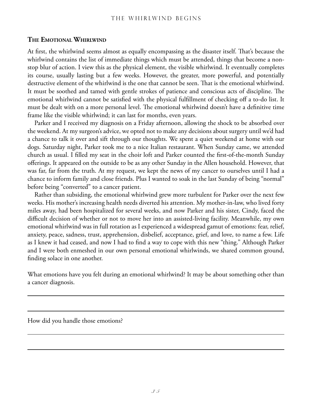#### **The Emotional Whirlwind**

At first, the whirlwind seems almost as equally encompassing as the disaster itself. That's because the whirlwind contains the list of immediate things which must be attended, things that become a nonstop blur of action. I view this as the physical element, the visible whirlwind. It eventually completes its course, usually lasting but a few weeks. However, the greater, more powerful, and potentially destructive element of the whirlwind is the one that cannot be seen. That is the emotional whirlwind. It must be soothed and tamed with gentle strokes of patience and conscious acts of discipline. The emotional whirlwind cannot be satisfied with the physical fulfillment of checking off a to-do list. It must be dealt with on a more personal level. The emotional whirlwind doesn't have a definitive time frame like the visible whirlwind; it can last for months, even years.

Parker and I received my diagnosis on a Friday afternoon, allowing the shock to be absorbed over the weekend. At my surgeon's advice, we opted not to make any decisions about surgery until we'd had a chance to talk it over and sift through our thoughts. We spent a quiet weekend at home with our dogs. Saturday night, Parker took me to a nice Italian restaurant. When Sunday came, we attended church as usual. I filled my seat in the choir loft and Parker counted the first-of-the-month Sunday offerings. It appeared on the outside to be as any other Sunday in the Allen household. However, that was far, far from the truth. At my request, we kept the news of my cancer to ourselves until I had a chance to inform family and close friends. Plus I wanted to soak in the last Sunday of being "normal" before being "converted" to a cancer patient.

Rather than subsiding, the emotional whirlwind grew more turbulent for Parker over the next few weeks. His mother's increasing health needs diverted his attention. My mother-in-law, who lived forty miles away, had been hospitalized for several weeks, and now Parker and his sister, Cindy, faced the difficult decision of whether or not to move her into an assisted-living facility. Meanwhile, my own emotional whirlwind was in full rotation as I experienced a widespread gamut of emotions: fear, relief, anxiety, peace, sadness, trust, apprehension, disbelief, acceptance, grief, and love, to name a few. Life as I knew it had ceased, and now I had to find a way to cope with this new "thing." Although Parker and I were both enmeshed in our own personal emotional whirlwinds, we shared common ground, finding solace in one another.

What emotions have you felt during an emotional whirlwind? It may be about something other than a cancer diagnosis.

How did you handle those emotions?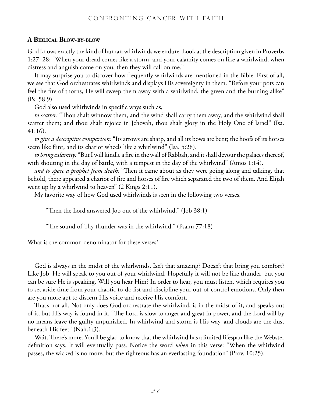#### **A Biblical Blow-by-blow**

God knows exactly the kind of human whirlwinds we endure. Look at the description given in Proverbs 1:27–28: "When your dread comes like a storm, and your calamity comes on like a whirlwind, when distress and anguish come on you, then they will call on me."

It may surprise you to discover how frequently whirlwinds are mentioned in the Bible. First of all, we see that God orchestrates whirlwinds and displays His sovereignty in them. "Before your pots can feel the fire of thorns, He will sweep them away with a whirlwind, the green and the burning alike" (Ps. 58:9).

God also used whirlwinds in specific ways such as,

*to scatter:* "Thou shalt winnow them, and the wind shall carry them away, and the whirlwind shall scatter them; and thou shalt rejoice in Jehovah, thou shalt glory in the Holy One of Israel" (Isa. 41:16).

*to give a descriptive comparison:* "Its arrows are sharp, and all its bows are bent; the hoofs of its horses seem like flint, and its chariot wheels like a whirlwind" (Isa. 5:28).

*to bring calamity:* "But I will kindle a fire in the wall of Rabbah, and it shall devour the palaces thereof, with shouting in the day of battle, with a tempest in the day of the whirlwind" (Amos 1:14).

*and to spare a prophet from death:* "Then it came about as they were going along and talking, that behold, there appeared a chariot of fire and horses of fire which separated the two of them. And Elijah went up by a whirlwind to heaven" (2 Kings 2:11).

My favorite way of how God used whirlwinds is seen in the following two verses.

"Then the Lord answered Job out of the whirlwind." (Job 38:1)

"The sound of Thy thunder was in the whirlwind." (Psalm 77:18)

What is the common denominator for these verses?

God is always in the midst of the whirlwinds. Isn't that amazing? Doesn't that bring you comfort? Like Job, He will speak to you out of your whirlwind. Hopefully it will not be like thunder, but you can be sure He is speaking. Will you hear Him? In order to hear, you must listen, which requires you to set aside time from your chaotic to-do list and discipline your out-of-control emotions. Only then are you more apt to discern His voice and receive His comfort.

That's not all. Not only does God orchestrate the whirlwind, is in the midst of it, and speaks out of it, but His way is found in it. "The Lord is slow to anger and great in power, and the Lord will by no means leave the guilty unpunished. In whirlwind and storm is His way, and clouds are the dust beneath His feet" (Nah.1:3).

Wait. There's more. You'll be glad to know that the whirlwind has a limited lifespan like the Webster definition says. It will eventually pass. Notice the word *when* in this verse: "When the whirlwind passes, the wicked is no more, but the righteous has an everlasting foundation" (Prov. 10:25).